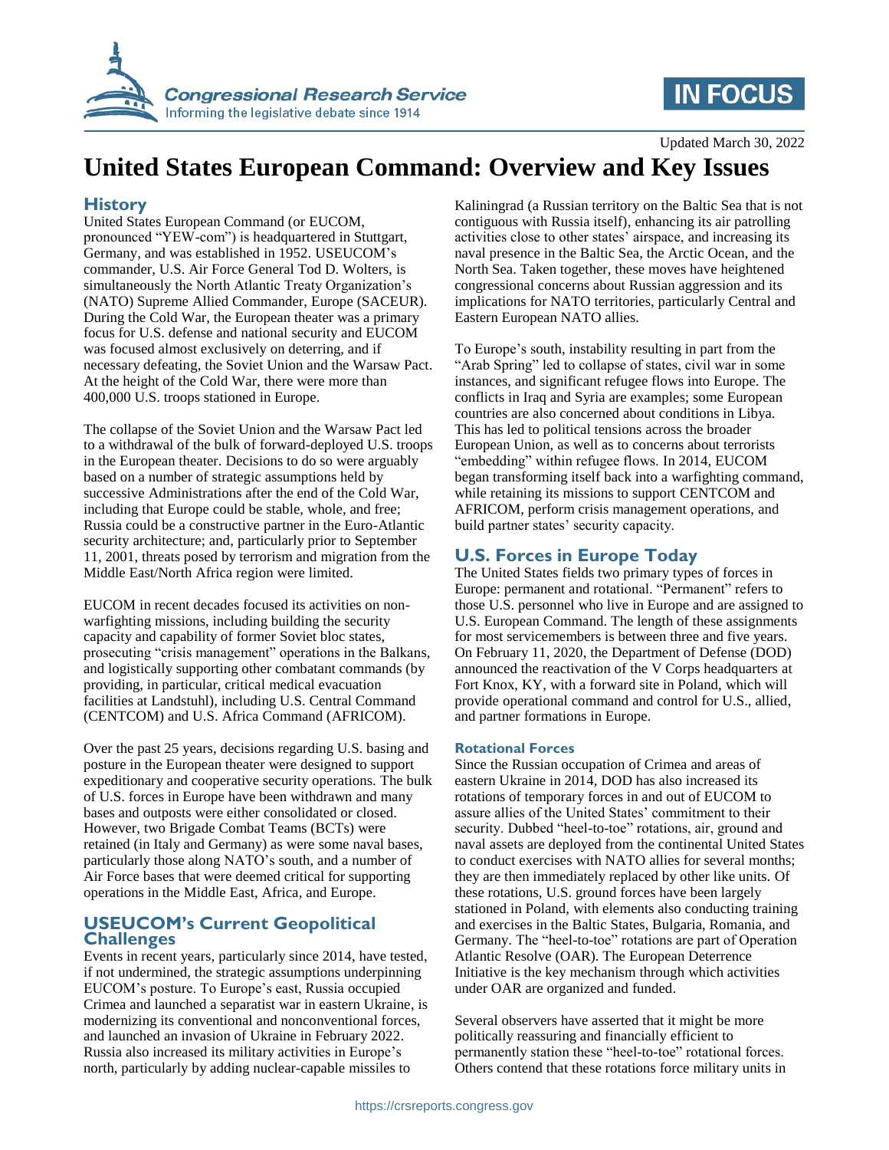

# **IN FOCUS**

Updated March 30, 2022

# **United States European Command: Overview and Key Issues**

### **History**

United States European Command (or EUCOM, pronounced "YEW-com") is headquartered in Stuttgart, Germany, and was established in 1952. USEUCOM's commander, U.S. Air Force General Tod D. Wolters, is simultaneously the North Atlantic Treaty Organization's (NATO) Supreme Allied Commander, Europe (SACEUR). During the Cold War, the European theater was a primary focus for U.S. defense and national security and EUCOM was focused almost exclusively on deterring, and if necessary defeating, the Soviet Union and the Warsaw Pact. At the height of the Cold War, there were more than 400,000 U.S. troops stationed in Europe.

The collapse of the Soviet Union and the Warsaw Pact led to a withdrawal of the bulk of forward-deployed U.S. troops in the European theater. Decisions to do so were arguably based on a number of strategic assumptions held by successive Administrations after the end of the Cold War, including that Europe could be stable, whole, and free; Russia could be a constructive partner in the Euro-Atlantic security architecture; and, particularly prior to September 11, 2001, threats posed by terrorism and migration from the Middle East/North Africa region were limited.

EUCOM in recent decades focused its activities on nonwarfighting missions, including building the security capacity and capability of former Soviet bloc states, prosecuting "crisis management" operations in the Balkans, and logistically supporting other combatant commands (by providing, in particular, critical medical evacuation facilities at Landstuhl), including U.S. Central Command (CENTCOM) and U.S. Africa Command (AFRICOM).

Over the past 25 years, decisions regarding U.S. basing and posture in the European theater were designed to support expeditionary and cooperative security operations. The bulk of U.S. forces in Europe have been withdrawn and many bases and outposts were either consolidated or closed. However, two Brigade Combat Teams (BCTs) were retained (in Italy and Germany) as were some naval bases, particularly those along NATO's south, and a number of Air Force bases that were deemed critical for supporting operations in the Middle East, Africa, and Europe.

### **USEUCOM's Current Geopolitical Challenges**

Events in recent years, particularly since 2014, have tested, if not undermined, the strategic assumptions underpinning EUCOM's posture. To Europe's east, Russia occupied Crimea and launched a separatist war in eastern Ukraine, is modernizing its conventional and nonconventional forces, and launched an invasion of Ukraine in February 2022. Russia also increased its military activities in Europe's north, particularly by adding nuclear-capable missiles to

Kaliningrad (a Russian territory on the Baltic Sea that is not contiguous with Russia itself), enhancing its air patrolling activities close to other states' airspace, and increasing its naval presence in the Baltic Sea, the Arctic Ocean, and the North Sea. Taken together, these moves have heightened congressional concerns about Russian aggression and its implications for NATO territories, particularly Central and Eastern European NATO allies.

To Europe's south, instability resulting in part from the "Arab Spring" led to collapse of states, civil war in some instances, and significant refugee flows into Europe. The conflicts in Iraq and Syria are examples; some European countries are also concerned about conditions in Libya. This has led to political tensions across the broader European Union, as well as to concerns about terrorists "embedding" within refugee flows. In 2014, EUCOM began transforming itself back into a warfighting command, while retaining its missions to support CENTCOM and AFRICOM, perform crisis management operations, and build partner states' security capacity.

## **U.S. Forces in Europe Today**

The United States fields two primary types of forces in Europe: permanent and rotational. "Permanent" refers to those U.S. personnel who live in Europe and are assigned to U.S. European Command. The length of these assignments for most servicemembers is between three and five years. On February 11, 2020, the Department of Defense (DOD) announced the reactivation of the V Corps headquarters at Fort Knox, KY, with a forward site in Poland, which will provide operational command and control for U.S., allied, and partner formations in Europe.

#### **Rotational Forces**

Since the Russian occupation of Crimea and areas of eastern Ukraine in 2014, DOD has also increased its rotations of temporary forces in and out of EUCOM to assure allies of the United States' commitment to their security. Dubbed "heel-to-toe" rotations, air, ground and naval assets are deployed from the continental United States to conduct exercises with NATO allies for several months; they are then immediately replaced by other like units. Of these rotations, U.S. ground forces have been largely stationed in Poland, with elements also conducting training and exercises in the Baltic States, Bulgaria, Romania, and Germany. The "heel-to-toe" rotations are part of Operation Atlantic Resolve (OAR). The European Deterrence Initiative is the key mechanism through which activities under OAR are organized and funded.

Several observers have asserted that it might be more politically reassuring and financially efficient to permanently station these "heel-to-toe" rotational forces. Others contend that these rotations force military units in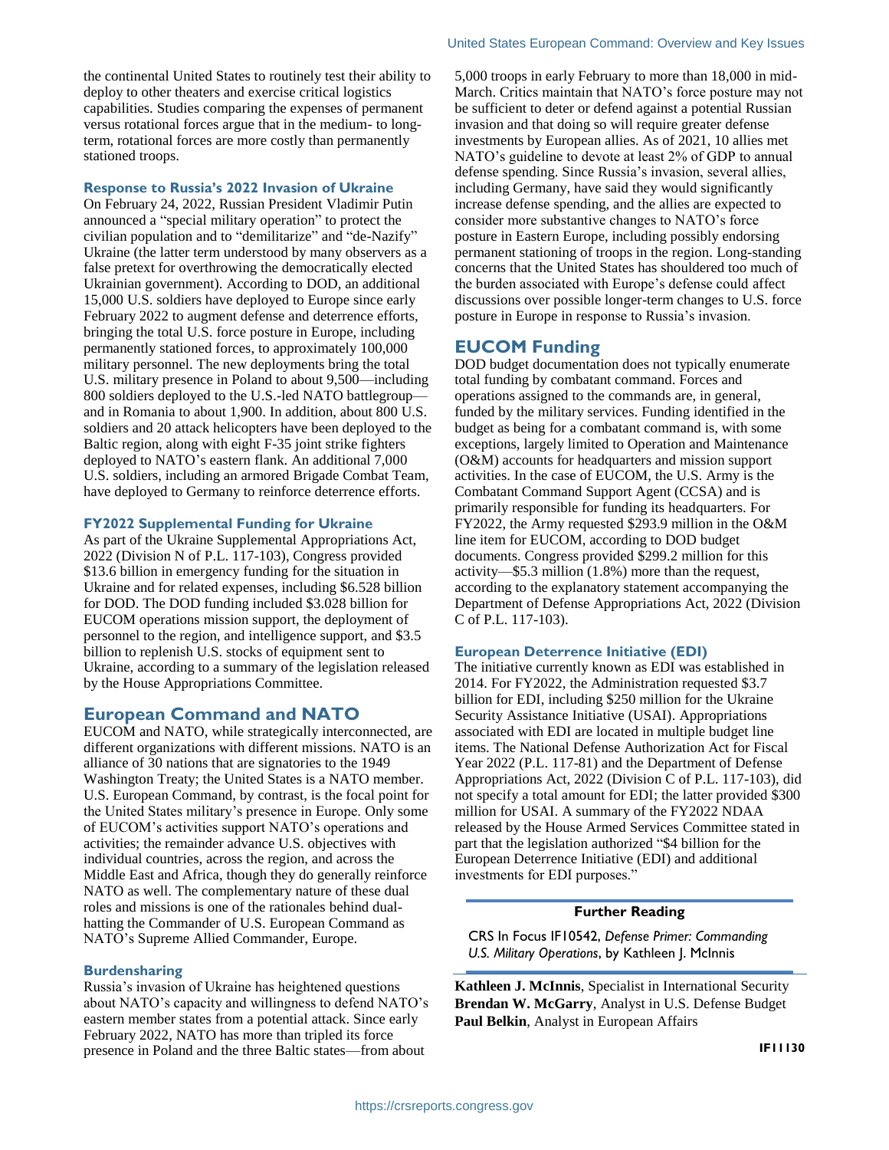the continental United States to routinely test their ability to deploy to other theaters and exercise critical logistics capabilities. Studies comparing the expenses of permanent versus rotational forces argue that in the medium- to longterm, rotational forces are more costly than permanently stationed troops.

#### **Response to Russia's 2022 Invasion of Ukraine**

On February 24, 2022, Russian President Vladimir Putin announced a "special military operation" to protect the civilian population and to "demilitarize" and "de-Nazify" Ukraine (the latter term understood by many observers as a false pretext for overthrowing the democratically elected Ukrainian government). According to DOD, an additional 15,000 U.S. soldiers have deployed to Europe since early February 2022 to augment defense and deterrence efforts, bringing the total U.S. force posture in Europe, including permanently stationed forces, to approximately 100,000 military personnel. The new deployments bring the total U.S. military presence in Poland to about 9,500—including 800 soldiers deployed to the U.S.-led NATO battlegroup and in Romania to about 1,900. In addition, about 800 U.S. soldiers and 20 attack helicopters have been deployed to the Baltic region, along with eight F-35 joint strike fighters deployed to NATO's eastern flank. An additional 7,000 U.S. soldiers, including an armored Brigade Combat Team, have deployed to Germany to reinforce deterrence efforts.

#### **FY2022 Supplemental Funding for Ukraine**

As part of the Ukraine Supplemental Appropriations Act, 2022 (Division N of P.L. 117-103), Congress provided \$13.6 billion in emergency funding for the situation in Ukraine and for related expenses, including \$6.528 billion for DOD. The DOD funding included \$3.028 billion for EUCOM operations mission support, the deployment of personnel to the region, and intelligence support, and \$3.5 billion to replenish U.S. stocks of equipment sent to Ukraine, according to a summary of the legislation released by the House Appropriations Committee.

#### **European Command and NATO**

EUCOM and NATO, while strategically interconnected, are different organizations with different missions. NATO is an alliance of 30 nations that are signatories to the 1949 Washington Treaty; the United States is a NATO member. U.S. European Command, by contrast, is the focal point for the United States military's presence in Europe. Only some of EUCOM's activities support NATO's operations and activities; the remainder advance U.S. objectives with individual countries, across the region, and across the Middle East and Africa, though they do generally reinforce NATO as well. The complementary nature of these dual roles and missions is one of the rationales behind dualhatting the Commander of U.S. European Command as NATO's Supreme Allied Commander, Europe.

#### **Burdensharing**

Russia's invasion of Ukraine has heightened questions about NATO's capacity and willingness to defend NATO's eastern member states from a potential attack. Since early February 2022, NATO has more than tripled its force presence in Poland and the three Baltic states—from about

5,000 troops in early February to more than 18,000 in mid-March. Critics maintain that NATO's force posture may not be sufficient to deter or defend against a potential Russian invasion and that doing so will require greater defense investments by European allies. As of 2021, 10 allies met NATO's guideline to devote at least 2% of GDP to annual defense spending. Since Russia's invasion, several allies, including Germany, have said they would significantly increase defense spending, and the allies are expected to consider more substantive changes to NATO's force posture in Eastern Europe, including possibly endorsing permanent stationing of troops in the region. Long-standing concerns that the United States has shouldered too much of the burden associated with Europe's defense could affect discussions over possible longer-term changes to U.S. force posture in Europe in response to Russia's invasion.

#### **EUCOM Funding**

DOD budget documentation does not typically enumerate total funding by combatant command. Forces and operations assigned to the commands are, in general, funded by the military services. Funding identified in the budget as being for a combatant command is, with some exceptions, largely limited to Operation and Maintenance (O&M) accounts for headquarters and mission support activities. In the case of EUCOM, the U.S. Army is the Combatant Command Support Agent (CCSA) and is primarily responsible for funding its headquarters. For FY2022, the Army requested \$293.9 million in the O&M line item for EUCOM, according to DOD budget documents. Congress provided \$299.2 million for this activity—\$5.3 million (1.8%) more than the request, according to the explanatory statement accompanying the Department of Defense Appropriations Act, 2022 (Division C of P.L. 117-103).

#### **European Deterrence Initiative (EDI)**

The initiative currently known as EDI was established in 2014. For FY2022, the Administration requested \$3.7 billion for EDI, including \$250 million for the Ukraine Security Assistance Initiative (USAI). Appropriations associated with EDI are located in multiple budget line items. The National Defense Authorization Act for Fiscal Year 2022 (P.L. 117-81) and the Department of Defense Appropriations Act, 2022 (Division C of P.L. 117-103), did not specify a total amount for EDI; the latter provided \$300 million for USAI. A summary of the FY2022 NDAA released by the House Armed Services Committee stated in part that the legislation authorized "\$4 billion for the European Deterrence Initiative (EDI) and additional investments for EDI purposes."

#### **Further Reading**

CRS In Focus IF10542, *Defense Primer: Commanding U.S. Military Operations*, by Kathleen J. McInnis

**Kathleen J. McInnis**, Specialist in International Security **Brendan W. McGarry**, Analyst in U.S. Defense Budget **Paul Belkin**, Analyst in European Affairs